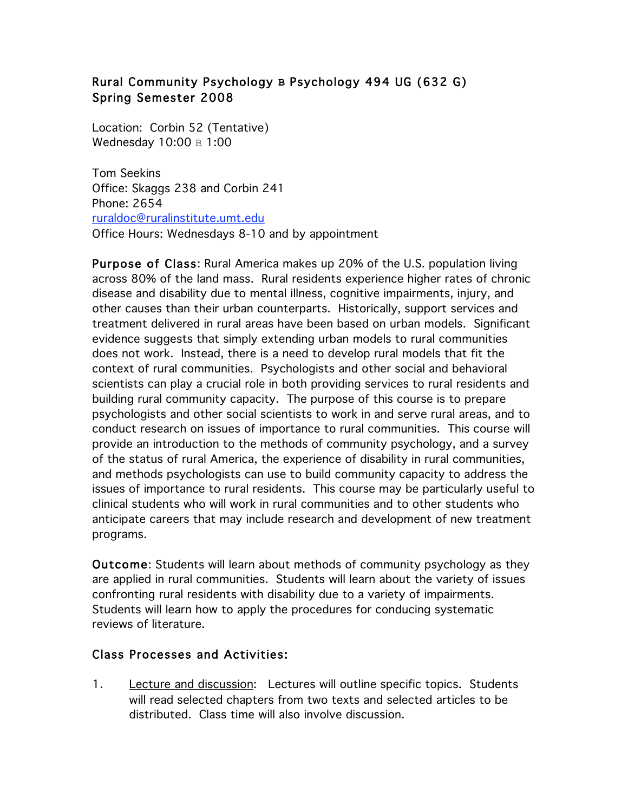# Rural Community Psychology **B** Psychology 494 UG (632 G) Spring Semester 2008

Location: Corbin 52 (Tentative) Wednesday  $10:00 \text{ B}$  1:00

Tom Seekins Office: Skaggs 238 and Corbin 241 Phone: 2654 ruraldoc@ruralinstitute.umt.edu Office Hours: Wednesdays 8-10 and by appointment

Purpose of Class: Rural America makes up 20% of the U.S. population living across 80% of the land mass. Rural residents experience higher rates of chronic disease and disability due to mental illness, cognitive impairments, injury, and other causes than their urban counterparts. Historically, support services and treatment delivered in rural areas have been based on urban models. Significant evidence suggests that simply extending urban models to rural communities does not work. Instead, there is a need to develop rural models that fit the context of rural communities. Psychologists and other social and behavioral scientists can play a crucial role in both providing services to rural residents and building rural community capacity. The purpose of this course is to prepare psychologists and other social scientists to work in and serve rural areas, and to conduct research on issues of importance to rural communities. This course will provide an introduction to the methods of community psychology, and a survey of the status of rural America, the experience of disability in rural communities, and methods psychologists can use to build community capacity to address the issues of importance to rural residents. This course may be particularly useful to clinical students who will work in rural communities and to other students who anticipate careers that may include research and development of new treatment programs.

Outcome: Students will learn about methods of community psychology as they are applied in rural communities. Students will learn about the variety of issues confronting rural residents with disability due to a variety of impairments. Students will learn how to apply the procedures for conducing systematic reviews of literature.

## Class Processes and Activities:

1. Lecture and discussion: Lectures will outline specific topics. Students will read selected chapters from two texts and selected articles to be distributed. Class time will also involve discussion.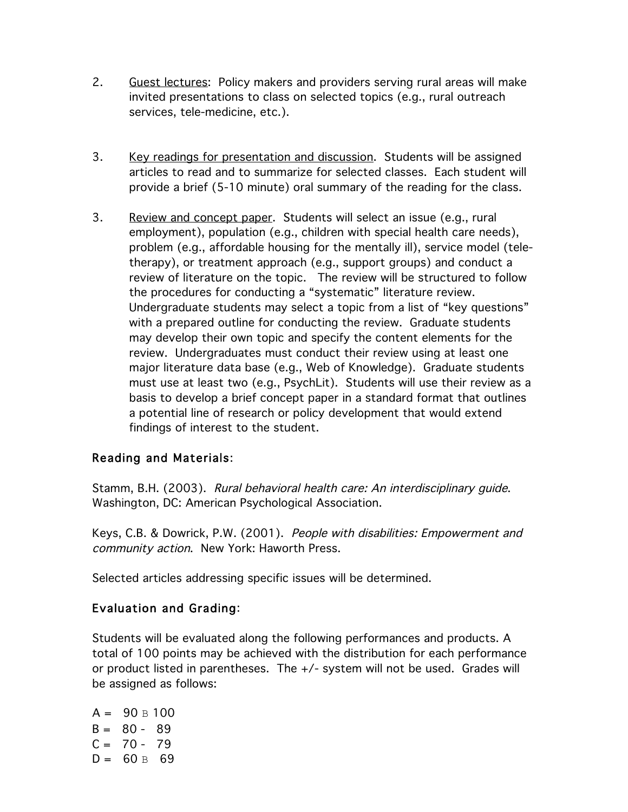- 2. Guest lectures: Policy makers and providers serving rural areas will make invited presentations to class on selected topics (e.g., rural outreach services, tele-medicine, etc.).
- 3. Key readings for presentation and discussion. Students will be assigned articles to read and to summarize for selected classes. Each student will provide a brief (5-10 minute) oral summary of the reading for the class.
- 3. Review and concept paper. Students will select an issue (e.g., rural employment), population (e.g., children with special health care needs), problem (e.g., affordable housing for the mentally ill), service model (teletherapy), or treatment approach (e.g., support groups) and conduct a review of literature on the topic. The review will be structured to follow the procedures for conducting a "systematic" literature review. Undergraduate students may select a topic from a list of "key questions" with a prepared outline for conducting the review. Graduate students may develop their own topic and specify the content elements for the review. Undergraduates must conduct their review using at least one major literature data base (e.g., Web of Knowledge). Graduate students must use at least two (e.g., PsychLit). Students will use their review as a basis to develop a brief concept paper in a standard format that outlines a potential line of research or policy development that would extend findings of interest to the student.

# Reading and Materials:

Stamm, B.H. (2003). Rural behavioral health care: An interdisciplinary guide. Washington, DC: American Psychological Association.

Keys, C.B. & Dowrick, P.W. (2001). People with disabilities: Empowerment and community action. New York: Haworth Press.

Selected articles addressing specific issues will be determined.

## Evaluation and Grading:

Students will be evaluated along the following performances and products. A total of 100 points may be achieved with the distribution for each performance or product listed in parentheses. The +/- system will not be used. Grades will be assigned as follows:

 $A = 90 B 100$  $B = 80 - 89$  $C = 70 - 79$  $D = 60 B 69$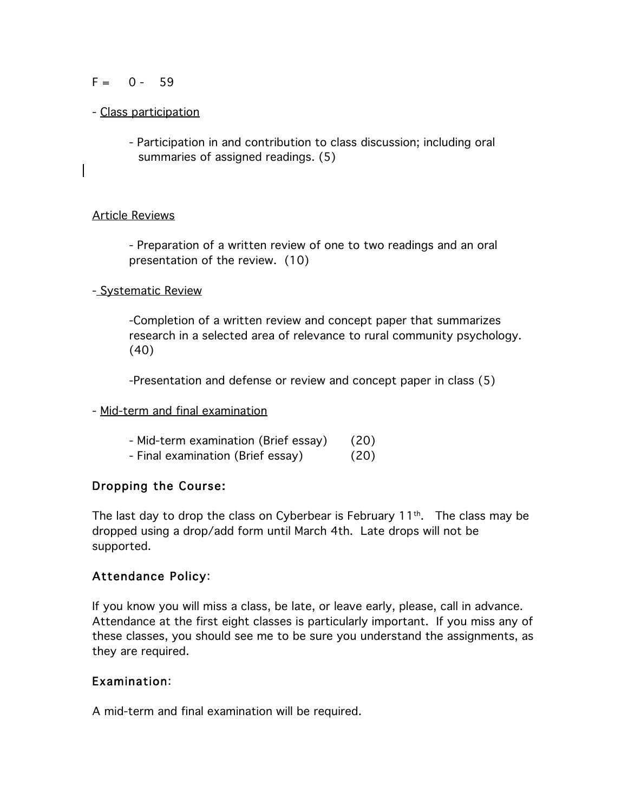#### $F = 0 - 59$

### - Class participation

- Participation in and contribution to class discussion; including oral summaries of assigned readings. (5)

#### Article Reviews

- Preparation of a written review of one to two readings and an oral presentation of the review. (10)

- Systematic Review

-Completion of a written review and concept paper that summarizes research in a selected area of relevance to rural community psychology. (40)

-Presentation and defense or review and concept paper in class (5)

#### - Mid-term and final examination

|  |  | - Mid-term examination (Brief essay) |  |  | (20) |
|--|--|--------------------------------------|--|--|------|
|--|--|--------------------------------------|--|--|------|

- Final examination (Brief essay) (20)

## Dropping the Course:

The last day to drop the class on Cyberbear is February  $11<sup>th</sup>$ . The class may be dropped using a drop/add form until March 4th. Late drops will not be supported.

### Attendance Policy:

If you know you will miss a class, be late, or leave early, please, call in advance. Attendance at the first eight classes is particularly important. If you miss any of these classes, you should see me to be sure you understand the assignments, as they are required.

### Examination:

A mid-term and final examination will be required.